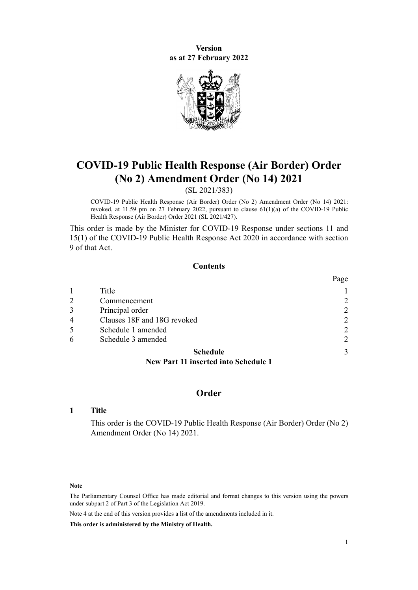**Version as at 27 February 2022**



# **COVID-19 Public Health Response (Air Border) Order (No 2) Amendment Order (No 14) 2021**

(SL 2021/383)

COVID-19 Public Health Response (Air Border) Order (No 2) Amendment Order (No 14) 2021: revoked, at 11.59 pm on 27 February 2022, pursuant to [clause 61\(1\)\(a\)](http://legislation.govt.nz/pdflink.aspx?id=LMS577925) of the COVID-19 Public Health Response (Air Border) Order 2021 (SL 2021/427).

This order is made by the Minister for COVID-19 Response under [sections 11](http://legislation.govt.nz/pdflink.aspx?id=LMS344177) and [15\(1\)](http://legislation.govt.nz/pdflink.aspx?id=LMS344183) of the [COVID-19 Public Health Response Act 2020](http://legislation.govt.nz/pdflink.aspx?id=LMS344121) in accordance with [section](http://legislation.govt.nz/pdflink.aspx?id=LMS344175) [9](http://legislation.govt.nz/pdflink.aspx?id=LMS344175) of that Act.

### **Contents**

|                |                             | Page           |
|----------------|-----------------------------|----------------|
|                | Title                       |                |
| 2              | Commencement                | 2              |
| 3              | Principal order             | $\overline{2}$ |
| $\overline{4}$ | Clauses 18F and 18G revoked | $\overline{2}$ |
| 5              | Schedule 1 amended          | $\overline{2}$ |
| 6              | Schedule 3 amended          | $\overline{2}$ |
|                | <b>Schedule</b>             | 3              |
|                |                             |                |

**[New Part 11 inserted into Schedule 1](#page-2-0)**

### **Order**

### **1 Title**

This order is the COVID-19 Public Health Response (Air Border) Order (No 2) Amendment Order (No 14) 2021.

Note 4 at the end of this version provides a list of the amendments included in it.

**This order is administered by the Ministry of Health.**

**Note**

The Parliamentary Counsel Office has made editorial and format changes to this version using the powers under [subpart 2](http://legislation.govt.nz/pdflink.aspx?id=DLM7298371) of Part 3 of the Legislation Act 2019.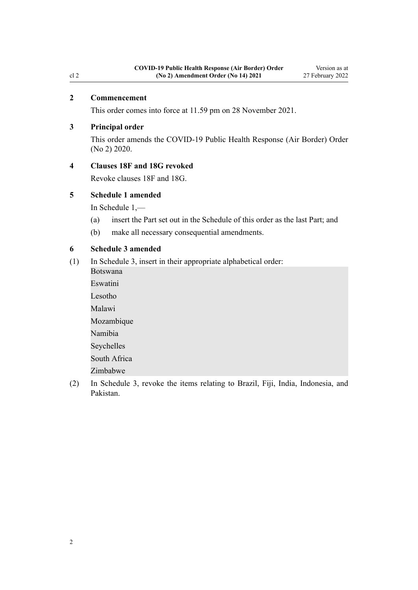### <span id="page-1-0"></span>**2 Commencement**

This order comes into force at 11.59 pm on 28 November 2021.

### **3 Principal order**

This order amends the [COVID-19 Public Health Response \(Air Border\) Order](http://legislation.govt.nz/pdflink.aspx?id=LMS403345) [\(No 2\) 2020](http://legislation.govt.nz/pdflink.aspx?id=LMS403345).

### **4 Clauses 18F and 18G revoked**

Revoke [clauses 18F](http://legislation.govt.nz/pdflink.aspx?id=LMS535105) and [18G](http://legislation.govt.nz/pdflink.aspx?id=LMS535121).

### **5 Schedule 1 amended**

In [Schedule 1](http://legislation.govt.nz/pdflink.aspx?id=LMS403399),—

- (a) insert the Part set out in the [Schedule](#page-2-0) of this order as the last Part; and
- (b) make all necessary consequential amendments.

### **6 Schedule 3 amended**

- (1) In [Schedule 3](http://legislation.govt.nz/pdflink.aspx?id=LMS487644), insert in their appropriate alphabetical order:
	- Botswana Eswatini Lesotho Malawi Mozambique Namibia Seychelles South Africa Zimbabwe
- (2) In [Schedule 3](http://legislation.govt.nz/pdflink.aspx?id=LMS487644), revoke the items relating to Brazil, Fiji, India, Indonesia, and Pakistan.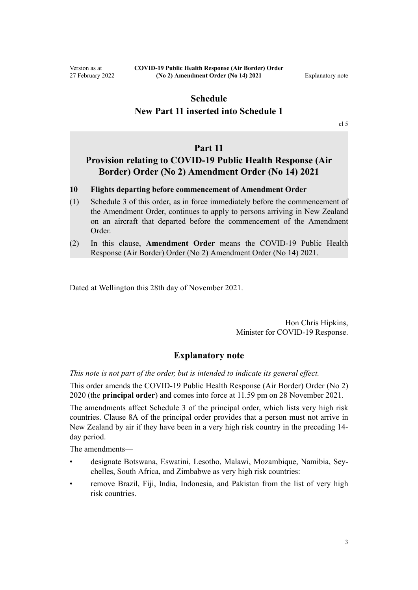### <span id="page-2-0"></span>**Schedule New Part 11 inserted into Schedule 1**

[cl 5](#page-1-0)

### **Part 11**

## **Provision relating to COVID-19 Public Health Response (Air Border) Order (No 2) Amendment Order (No 14) 2021**

- **10 Flights departing before commencement of Amendment Order**
- (1) Schedule 3 of this order, as in force immediately before the commencement of the Amendment Order, continues to apply to persons arriving in New Zealand on an aircraft that departed before the commencement of the Amendment Order.
- (2) In this clause, **Amendment Order** means the COVID-19 Public Health Response (Air Border) Order (No 2) Amendment Order (No 14) 2021.

Dated at Wellington this 28th day of November 2021.

Hon Chris Hipkins, Minister for COVID-19 Response.

### **Explanatory note**

*This note is not part of the order, but is intended to indicate its general effect.*

This order amends the [COVID-19 Public Health Response \(Air Border\) Order \(No 2\)](http://legislation.govt.nz/pdflink.aspx?id=LMS403345) [2020](http://legislation.govt.nz/pdflink.aspx?id=LMS403345) (the **principal order**) and comes into force at 11.59 pm on 28 November 2021.

The amendments affect [Schedule 3](http://legislation.govt.nz/pdflink.aspx?id=LMS487644) of the principal order, which lists very high risk countries. [Clause 8A](http://legislation.govt.nz/pdflink.aspx?id=LMS481617) of the principal order provides that a person must not arrive in New Zealand by air if they have been in a very high risk country in the preceding 14 day period.

The amendments—

- designate Botswana, Eswatini, Lesotho, Malawi, Mozambique, Namibia, Sey‐ chelles, South Africa, and Zimbabwe as very high risk countries:
- remove Brazil, Fiji, India, Indonesia, and Pakistan from the list of very high risk countries.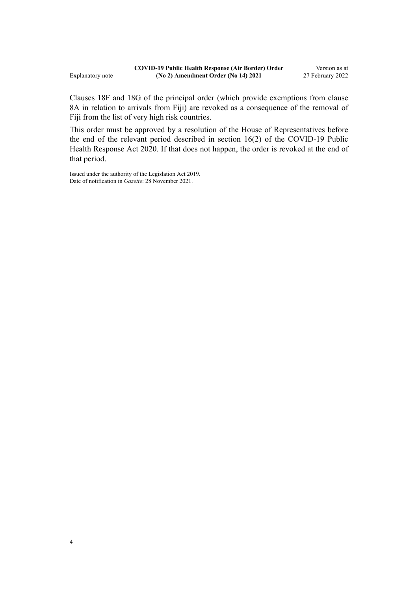[Clauses 18F](http://legislation.govt.nz/pdflink.aspx?id=LMS535105) and [18G](http://legislation.govt.nz/pdflink.aspx?id=LMS535121) of the principal order (which provide exemptions from [clause](http://legislation.govt.nz/pdflink.aspx?id=LMS481617) [8A](http://legislation.govt.nz/pdflink.aspx?id=LMS481617) in relation to arrivals from Fiji) are revoked as a consequence of the removal of Fiji from the list of very high risk countries.

This order must be approved by a resolution of the House of Representatives before the end of the relevant period described in [section 16\(2\)](http://legislation.govt.nz/pdflink.aspx?id=LMS344186) of the COVID-19 Public Health Response Act 2020. If that does not happen, the order is revoked at the end of that period.

Issued under the authority of the [Legislation Act 2019](http://legislation.govt.nz/pdflink.aspx?id=DLM7298104). Date of notification in *Gazette*: 28 November 2021.